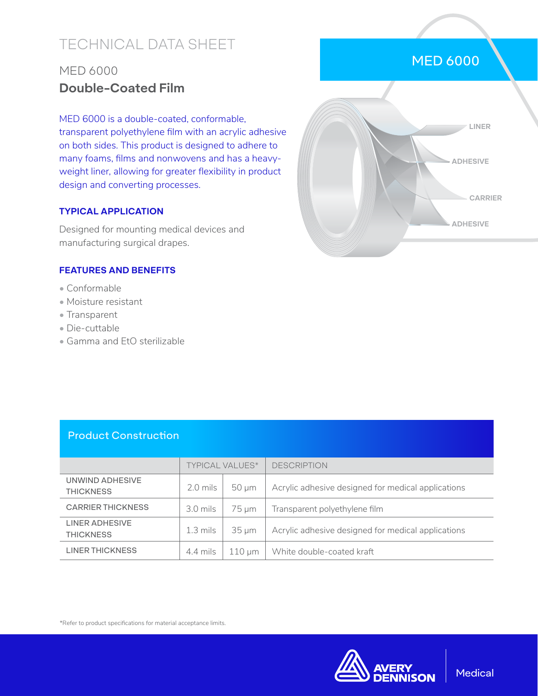# TECHNICAL DATA SHEET

## MED 6000 **Double-Coated Film**

MED 6000 is a double-coated, conformable, transparent polyethylene film with an acrylic adhesive on both sides. This product is designed to adhere to many foams, films and nonwovens and has a heavyweight liner, allowing for greater flexibility in product design and converting processes.

#### **TYPICAL APPLICATION**

Designed for mounting medical devices and manufacturing surgical drapes.

#### **FEATURES AND BENEFITS**

- Conformable
- Moisture resistant
- Transparent
- Die-cuttable
- Gamma and EtO sterilizable



MED 6000

### Product Construction

|                                     | <b>TYPICAL VALUES*</b> |             | <b>DESCRIPTION</b>                                 |
|-------------------------------------|------------------------|-------------|----------------------------------------------------|
| UNWIND ADHESIVE<br><b>THICKNESS</b> | $2.0$ mils             | $50 \mu m$  | Acrylic adhesive designed for medical applications |
| <b>CARRIER THICKNESS</b>            | $3.0$ mils             | 75 µm       | Transparent polyethylene film                      |
| LINER ADHESIVE<br><b>THICKNESS</b>  | $1.3 \text{ miles}$    | $35 \mu m$  | Acrylic adhesive designed for medical applications |
| <b>LINER THICKNESS</b>              | 4.4 mils               | $110 \mu m$ | White double-coated kraft                          |